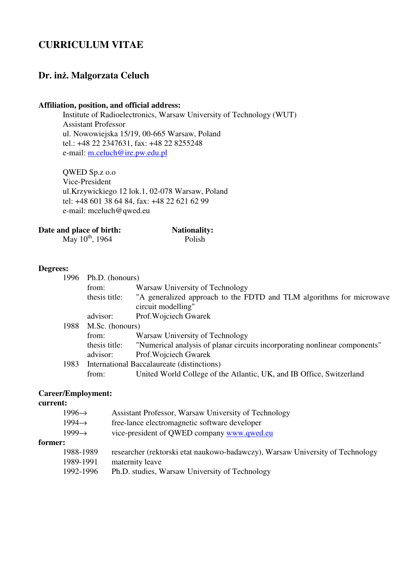# **CURRICULUM VITAE**

## **Dr. in**ż**. Malgorzata Celuch**

## **Affiliation, position, and official address:**

Institute of Radioelectronics, Warsaw University of Technology (WUT) Assistant Professor ul. Nowowiejska 15/19, 00-665 Warsaw, Poland tel.: +48 22 2347631, fax: +48 22 8255248 e-mail: m.celuch@ire.pw.edu.pl

QWED Sp.z o.o Vice-President ul.Krzywickiego 12 lok.1, 02-078 Warsaw, Poland tel: +48 601 38 64 84, fax: +48 22 621 62 99 e-mail: mceluch@qwed.eu

| Date and place of birth: | <b>Nationality:</b> |
|--------------------------|---------------------|
|                          |                     |

 $\text{May } 10^{\text{th}}$ , 1964 Polish

#### **Degrees:**

| 1996 | Ph.D. (honours) |                                                                                            |
|------|-----------------|--------------------------------------------------------------------------------------------|
|      | from:           | Warsaw University of Technology                                                            |
|      | thesis title:   | "A generalized approach to the FDTD and TLM algorithms for microwave<br>circuit modelling" |
|      | advisor:        | Prof. Wojciech Gwarek                                                                      |
| 1988 | M.Sc. (honours) |                                                                                            |
|      | from:           | Warsaw University of Technology                                                            |
|      | thesis title:   | "Numerical analysis of planar circuits incorporating nonlinear components"                 |
|      | advisor:        | Prof. Wojciech Gwarek                                                                      |
| 1983 |                 | International Baccalaureate (distinctions)                                                 |
|      | from:           | United World College of the Atlantic, UK, and IB Office, Switzerland                       |
|      |                 |                                                                                            |

## **Career/Employment:**

## **current:**

|         | $1996 \rightarrow$ | Assistant Professor, Warsaw University of Technology                          |
|---------|--------------------|-------------------------------------------------------------------------------|
|         | $1994 \rightarrow$ | free-lance electromagnetic software developer                                 |
|         | $1999 \rightarrow$ | vice-president of QWED company www.qwed.eu                                    |
| former: |                    |                                                                               |
|         | 1988-1989          | researcher (rektorski etat naukowo-badawczy), Warsaw University of Technology |
|         | 1989-1991          | maternity leave                                                               |
|         | 1992-1996          | Ph.D. studies, Warsaw University of Technology                                |
|         |                    |                                                                               |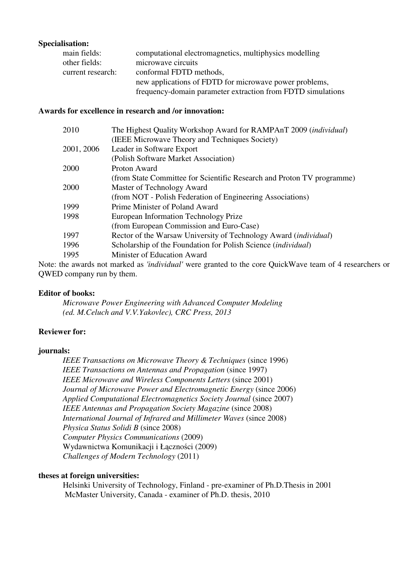## **Specialisation:**

| main fields:      | computational electromagnetics, multiphysics modelling      |
|-------------------|-------------------------------------------------------------|
| other fields:     | microwave circuits                                          |
| current research: | conformal FDTD methods,                                     |
|                   | new applications of FDTD for microwave power problems,      |
|                   | frequency-domain parameter extraction from FDTD simulations |

## **Awards for excellence in research and /or innovation:**

| 2010       | The Highest Quality Workshop Award for RAMPAnT 2009 (individual)       |
|------------|------------------------------------------------------------------------|
|            | (IEEE Microwave Theory and Techniques Society)                         |
| 2001, 2006 | Leader in Software Export                                              |
|            | (Polish Software Market Association)                                   |
| 2000       | Proton Award                                                           |
|            | (from State Committee for Scientific Research and Proton TV programme) |
| 2000       | Master of Technology Award                                             |
|            | (from NOT - Polish Federation of Engineering Associations)             |
| 1999       | Prime Minister of Poland Award                                         |
| 1998       | European Information Technology Prize                                  |
|            | (from European Commission and Euro-Case)                               |
| 1997       | Rector of the Warsaw University of Technology Award (individual)       |
| 1996       | Scholarship of the Foundation for Polish Science (individual)          |
| 1995       | Minister of Education Award                                            |
|            |                                                                        |

Note: the awards not marked as *'individual'* were granted to the core QuickWave team of 4 researchers or QWED company run by them.

## **Editor of books:**

 *Microwave Power Engineering with Advanced Computer Modeling (ed. M.Celuch and V.V.Yakovlec), CRC Press, 2013* 

## **Reviewer for:**

## **journals:**

*IEEE Transactions on Microwave Theory & Techniques* (since 1996) *IEEE Transactions on Antennas and Propagation* (since 1997) *IEEE Microwave and Wireless Components Letters* (since 2001) *Journal of Microwave Power and Electromagnetic Energy* (since 2006) *Applied Computational Electromagnetics Society Journal* (since 2007) *IEEE Antennas and Propagation Society Magazine* (since 2008) *International Journal of Infrared and Millimeter Waves* (since 2008) *Physica Status Solidi B* (since 2008) *Computer Physics Communications* (2009) Wydawnictwa Komunikacji i Łączności (2009) *Challenges of Modern Technology* (2011)

## **theses at foreign universities:**

Helsinki University of Technology, Finland - pre-examiner of Ph.D.Thesis in 2001 McMaster University, Canada - examiner of Ph.D. thesis, 2010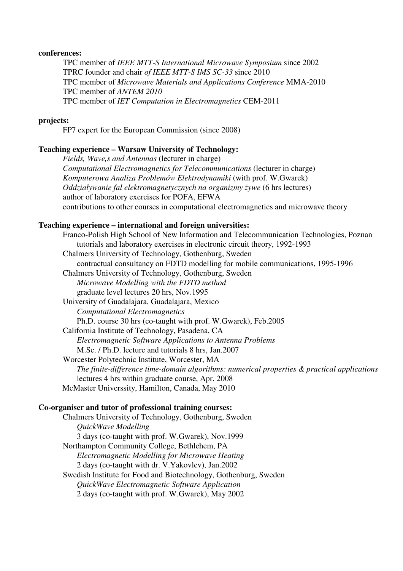#### **conferences:**

TPC member of *IEEE MTT-S International Microwave Symposium* since 2002 TPRC founder and chair *of IEEE MTT-S IMS SC-33* since 2010 TPC member of *Microwave Materials and Applications Conference* MMA-2010 TPC member of *ANTEM 2010*  TPC member of *IET Computation in Electromagnetics* CEM-2011

#### **projects:**

FP7 expert for the European Commission (since 2008)

#### **Teaching experience – Warsaw University of Technology:**

*Fields, Wave,s and Antennas* (lecturer in charge) *Computational Electromagnetics for Telecommunications* (lecturer in charge) *Komputerowa Analiza Problemów Elektrodynamiki* (with prof. W.Gwarek) *Oddziaływanie fal elektromagnetycznych na organizmy* ż*ywe* (6 hrs lectures) author of laboratory exercises for POFA, EFWA contributions to other courses in computational electromagnetics and microwave theory

#### **Teaching experience – international and foreign universities:**

Franco-Polish High School of New Information and Telecommunication Technologies, Poznan tutorials and laboratory exercises in electronic circuit theory, 1992-1993 Chalmers University of Technology, Gothenburg, Sweden contractual consultancy on FDTD modelling for mobile communications, 1995-1996 Chalmers University of Technology, Gothenburg, Sweden *Microwave Modelling with the FDTD method*  graduate level lectures 20 hrs, Nov.1995 University of Guadalajara, Guadalajara, Mexico *Computational Electromagnetics* Ph.D. course 30 hrs (co-taught with prof. W.Gwarek), Feb.2005 California Institute of Technology, Pasadena, CA *Electromagnetic Software Applications to Antenna Problems* M.Sc. / Ph.D. lecture and tutorials 8 hrs, Jan.2007 Worcester Polytechnic Institute, Worcester, MA *The finite-difference time-domain algorithms: numerical properties & practical applications* lectures 4 hrs within graduate course, Apr. 2008 McMaster Universsity, Hamilton, Canada, May 2010

## **Co-organiser and tutor of professional training courses:**

Chalmers University of Technology, Gothenburg, Sweden *QuickWave Modelling* 3 days (co-taught with prof. W.Gwarek), Nov.1999 Northampton Community College, Bethlehem, PA *Electromagnetic Modelling for Microwave Heating* 2 days (co-taught with dr. V.Yakovlev), Jan.2002 Swedish Institute for Food and Biotechnology, Gothenburg, Sweden *QuickWave Electromagnetic Software Application*  2 days (co-taught with prof. W.Gwarek), May 2002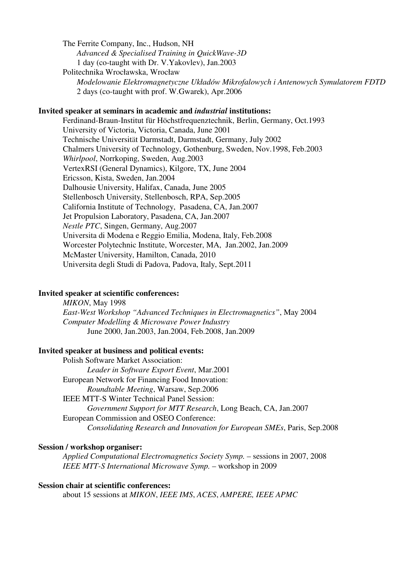The Ferrite Company, Inc., Hudson, NH *Advanced & Specialised Training in QuickWave-3D*  1 day (co-taught with Dr. V.Yakovlev), Jan.2003 Politechnika Wrocławska, Wrocław *Modelowanie Elektromagnetyczne Układów Mikrofalowych i Antenowych Symulatorem FDTD* 2 days (co-taught with prof. W.Gwarek), Apr.2006

#### **Invited speaker at seminars in academic and** *industrial* **institutions:**

 Ferdinand-Braun-Institut für Höchstfrequenztechnik, Berlin, Germany, Oct.1993 University of Victoria, Victoria, Canada, June 2001 Technische Universität Darmstadt, Darmstadt, Germany, July 2002 Chalmers University of Technology, Gothenburg, Sweden, Nov.1998, Feb.2003 *Whirlpool*, Norrkoping, Sweden, Aug.2003 VertexRSI (General Dynamics), Kilgore, TX, June 2004 Ericsson, Kista, Sweden, Jan.2004 Dalhousie University, Halifax, Canada, June 2005 Stellenbosch University, Stellenbosch, RPA, Sep.2005 California Institute of Technology, Pasadena, CA, Jan.2007 Jet Propulsion Laboratory, Pasadena, CA, Jan.2007 *Nestle PTC*, Singen, Germany, Aug.2007 Universita di Modena e Reggio Emilia, Modena, Italy, Feb.2008 Worcester Polytechnic Institute, Worcester, MA, Jan.2002, Jan.2009 McMaster University, Hamilton, Canada, 2010 Universita degli Studi di Padova, Padova, Italy, Sept.2011

### **Invited speaker at scientific conferences:**

*MIKON*, May 1998 *East-West Workshop "Advanced Techniques in Electromagnetics"*, May 2004 *Computer Modelling & Microwave Power Industry*  June 2000, Jan.2003, Jan.2004, Feb.2008, Jan.2009

## **Invited speaker at business and political events:**

Polish Software Market Association: *Leader in Software Export Event*, Mar.2001 European Network for Financing Food Innovation: *Roundtable Meeting*, Warsaw, Sep.2006 IEEE MTT-S Winter Technical Panel Session: *Government Support for MTT Research*, Long Beach, CA, Jan.2007 European Commission and OSEO Conference: *Consolidating Research and Innovation for European SMEs*, Paris, Sep.2008

## **Session / workshop organiser:**

*Applied Computational Electromagnetics Society Symp.* – sessions in 2007, 2008 *IEEE MTT-S International Microwave Symp.* – workshop in 2009

## **Session chair at scientific conferences:**

about 15 sessions at *MIKON*, *IEEE IMS*, *ACES*, *AMPERE, IEEE APMC*